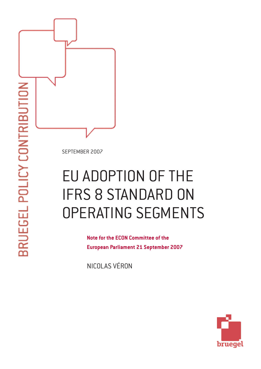SEPTEMBER 2007

# EU ADOPTION OF THE IFRS 8 STANDARD ON OPERATING SEGMENTS

**Note for the ECON Committee of the European Parliament 21 September 2007**

NICOLAS VÉRON

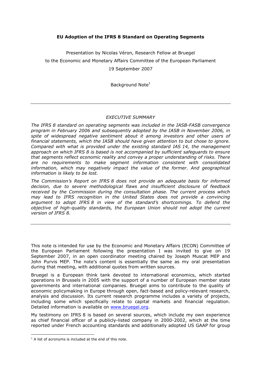# EU Adoption of the IFRS 8 Standard on Operating Segments

Presentation by Nicolas Véron, Research Fellow at Bruegel to the Economic and Monetary Affairs Committee of the European Parliament 19 September 2007

Background Note<sup>1</sup>

## EXECUTIVE SUMMARY

The IFRS 8 standard on operating segments was included in the IASB-FASB convergence program in February 2006 and subsequently adopted by the IASB in November 2006, in spite of widespread negative sentiment about it among investors and other users of financial statements, which the IASB should have given attention to but chose to ignore. Compared with what is provided under the existing standard IAS 14, the management approach on which IFRS 8 is based is not accompanied by sufficient safeguards to ensure that segments reflect economic reality and convey a proper understanding of risks. There are no requirements to make segment information consistent with consolidated information, which may negatively impact the value of the former. And geographical information is likely to be lost.

The Commission's Report on IFRS 8 does not provide an adequate basis for informed decision, due to severe methodological flaws and insufficient disclosure of feedback received by the Commission during the consultation phase. The current process which may lead to IFRS recognition in the United States does not provide a convincing argument to adopt IFRS 8 in view of the standard's shortcomings. To defend the objective of high-quality standards, the European Union should not adopt the current version of IFRS 8.

This note is intended for use by the Economic and Monetary Affairs (ECON) Committee of the European Parliament following the presentation I was invited to give on 19 September 2007, in an open coordinator meeting chaired by Joseph Muscat MEP and John Purvis MEP. The note's content is essentially the same as my oral presentation during that meeting, with additional quotes from written sources.

Bruegel is a European think tank devoted to international economics, which started operations in Brussels in 2005 with the support of a number of European member state governments and international companies. Bruegel aims to contribute to the quality of economic policymaking in Europe through open, fact-based and policy-relevant research, analysis and discussion. Its current research programme includes a variety of projects, including some which specifically relate to capital markets and financial regulation. Detailed information is available on www.bruegel.org.

My testimony on IFRS 8 is based on several sources, which include my own experience as chief financial officer of a publicly-listed company in 2000-2002, which at the time reported under French accounting standards and additionally adopted US GAAP for group

 $\overline{a}$ 

 $1$  A list of acronyms is included at the end of this note.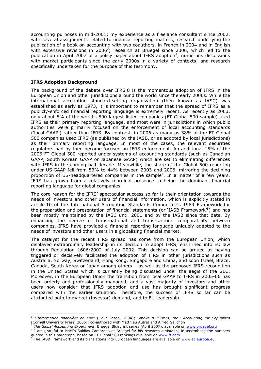accounting purposes in mid-2001; my experience as a freelance consultant since 2002, with several assignments related to financial reporting matters; research underlying the publication of a book on accounting with two coauthors, in French in 2004 and in English with extensive revisions in 2006<sup>2</sup>; research at Bruegel since 2006, which led to the publication in April 2007 of a policy paper about IFRS adoption<sup>3</sup>; numerous discussions with market participants since the early 2000s in a variety of contexts; and research specifically undertaken for the purpose of this testimony.

# IFRS Adoption Background

 $\overline{a}$ 

The background of the debate over IFRS 8 is the momentous adoption of IFRS in the European Union and other jurisdictions around the world since the early 2000s. While the international accounting standard-setting organization (then known as IASC) was established as early as 1973, it is important to remember that the spread of IFRS as a publicly-enforced financial reporting language is extremely recent. As recently as 2003, only about 5% of the world's 500 largest listed companies (FT Global 500 sample) used IFRS as their primary reporting language, and most were in jurisdictions in which public authorities were primarily focused on the enforcement of local accounting standards ('local GAAP') rather than IFRS. By contrast, in 2006 as many as 38% of the FT Global 500 companies used IFRS (as published by the IASB, or as adopted by local jurisdictions) as their primary reporting language. In most of the cases, the relevant securities regulators had by then become focused on IFRS enforcement. An additional 15% of the 2006 FT Global 500 reported under systems of accounting standards (such as Canadian GAAP, South Korean GAAP or Japanese GAAP) which are set to eliminating differences with IFRS in the coming half decade. Meanwhile, the share of the Global 500 reporting under US GAAP fell from 53% to 44% between 2003 and 2006, mirroring the declining proportion of US-headquartered companies in the sample<sup>4</sup>. In a matter of a few years, IFRS has grown from a relatively marginal presence to being the dominant financial reporting language for global companies.

The core reason for the IFRS' spectacular success so far is their orientation towards the needs of investors and other users of financial information, which is explicitly stated in article 10 of the International Accounting Standards Committee's 1989 Framework for the preparation and presentation of financial statements (or `IASB Framework'<sup>5</sup>) and has been mostly maintained by the IASC until 2001 and by the IASB since that date. By enhancing the degree of trans-national and trans-sectoral comparability between companies, IFRS have provided a financial reporting language uniquely adapted to the needs of investors and other users in a globalizing financial market.

The catalyst for the recent IFRS spread has come from the European Union, which displayed extraordinary leadership in its decision to adopt IFRS, enshrined into EU law through Regulation 1606/2002 of July 2002. This decision can be argued as having triggered or decisively facilitated the adoption of IFRS in other jurisdictions such as Australia, Norway, Switzerland, Hong Kong, Singapore and China, and soon Israel, Brazil, Canada, South Korea or Japan among others – as well as the proposed IFRS recognition in the United States which is currently being discussed under the aegis of the SEC. Moreover, in the European Union the transition from local GAAP to IFRS in 2005-06 has been orderly and professionally managed, and a vast majority of investors and other users now consider that IFRS adoption and use has brought significant progress compared with the earlier situation. Therefore, the success of IFRS so far can be attributed both to market (investor) demand, and to EU leadership.

<sup>&</sup>lt;sup>2</sup> L'Information financière en crise (Odile Jacob, 2004); Smoke & Mirrors, Inc.: Accounting for Capitalism (Cornell University Press, 2006); co-authored with Matthieu Autret and Alfred Galichon

The Global Accounting Experiment, Bruegel Blueprint series (April 2007), available on www.bruegel.org

<sup>4</sup> I am grateful to Martín Saldías Zambrana at Bruegel for his research assistance in assembling the numbers quoted in this paragraph, based on FT Global 500 rankings available on www.ft.com.<br><sup>5</sup> The IASB Framework and its translations into European Janguages are available on w

The IASB Framework and its translations into European languages are available on www.ec.europa.eu.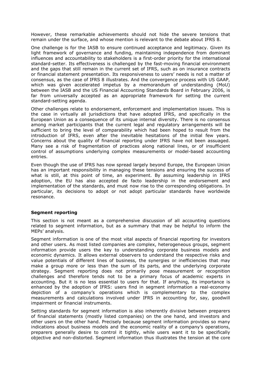However, these remarkable achievements should not hide the severe tensions that remain under the surface, and whose mention is relevant to the debate about IFRS 8.

One challenge is for the IASB to ensure continued acceptance and legitimacy. Given its light framework of governance and funding, maintaining independence from dominant influences and accountability to stakeholders is a first-order priority for the international standard-setter. Its effectiveness is challenged by the fast-moving financial environment and the gaps that still remain in the current set of IFRS, such as on insurance contracts or financial statement presentation. Its responsiveness to users' needs is not a matter of consensus, as the case of IFRS 8 illustrates. And the convergence process with US GAAP, which was given accelerated impetus by a memorandum of understanding (MoU) between the IASB and the US Financial Accounting Standards Board in February 2006, is far from universally accepted as an appropriate framework for setting the current standard-setting agenda.

Other challenges relate to endorsement, enforcement and implementation issues. This is the case in virtually all jurisdictions that have adopted IFRS, and specifically in the European Union as a consequence of its unique internal diversity. There is no consensus among market participants that the current legal and regulatory arrangements will be sufficient to bring the level of comparability which had been hoped to result from the introduction of IFRS, even after the inevitable hesitations of the initial few years. Concerns about the quality of financial reporting under IFRS have not been assuaged. Many see a risk of fragmentation of practices along national lines, or of insufficient control of assumptions underlying complex measurements or model-based accounting entries.

Even though the use of IFRS has now spread largely beyond Europe, the European Union has an important responsibility in managing these tensions and ensuring the success of what is still, at this point of time, an experiment. By assuming leadership in IFRS adoption, the EU has also accepted de facto leadership in the endorsement and implementation of the standards, and must now rise to the corresponding obligations. In particular, its decisions to adopt or not adopt particular standards have worldwide resonance.

#### Segment reporting

This section is not meant as a comprehensive discussion of all accounting questions related to segment information, but as a summary that may be helpful to inform the MEPs' analysis.

Segment information is one of the most vital aspects of financial reporting for investors and other users. As most listed companies are complex, heterogeneous groups, segment information provide users the key to understanding corporate business models and economic dynamics. It allows external observers to understand the respective risks and value potentials of different lines of business, the synergies or inefficiencies that may make a group more or less than the sum of its parts, and the underlying corporate strategy. Segment reporting does not primarily pose measurement or recognition challenges and therefore tends not to be a primary focus of academic experts in accounting. But it is no less essential to users for that. If anything, its importance is enhanced by the adoption of IFRS: users find in segment information a real-economy depiction of a company's operations which is complementary to the complex measurements and calculations involved under IFRS in accounting for, say, goodwill impairment or financial instruments.

Setting standards for segment information is also inherently divisive between preparers of financial statements (mostly listed companies) on the one hand, and investors and other users on the other hand. Precisely because segment information provides so many indications about business models and the economic reality of a company's operations, preparers generally desire to control it tightly, while users want it to be specifically objective and non-distorted. Segment information thus illustrates the tension at the core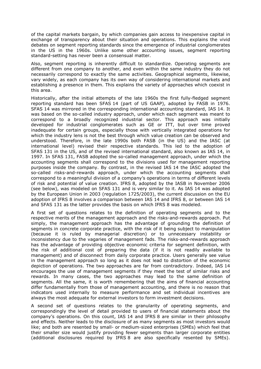of the capital markets bargain, by which companies gain access to inexpensive capital in exchange of transparency about their situation and operations. This explains the vivid debates on segment reporting standards since the emergence of industrial conglomerates in the US in the 1960s. Unlike some other accounting issues, segment reporting standard-setting has never been a consensual matter.

Also, segment reporting is inherently difficult to standardize. Operating segments are different from one company to another, and even within the same industry they do not necessarily correspond to exactly the same activities. Geographical segments, likewise, vary widely, as each company has its own way of considering international markets and establishing a presence in them. This explains the variety of approaches which coexist in this area.

Historically, after the initial attempts of the late 1960s the first fully-fledged segment reporting standard has been SFAS 14 (part of US GAAP), adopted by FASB in 1976. SFAS 14 was mirrored in the corresponding international accounting standard, IAS 14. It was based on the so-called industry approach, under which each segment was meant to correspond to a broadly recognized industrial sector. This approach was initially developed for industrial conglomerates such as GE or ITT, but over time proved inadequate for certain groups, especially those with vertically integrated operations for which the industry lens is not the best through which value creation can be observed and understood. Therefore, in the late 1990s both FASB (in the US) and the IASC (at international level) revised their respective standards. This led to the adoption of SFAS 131 in the US, and of the revised international standard, also known as IAS 14, in 1997. In SFAS 131, FASB adopted the so-called management approach, under which the accounting segments shall correspond to the divisions used for management reporting purposes inside the company. By contrast, in the revised IAS 14 the IASC adopted the so-called risks-and-rewards approach, under which the accounting segments shall correspond to a meaningful division of a company's operations in terms of different levels of risk and potential of value creation. IFRS 8, adopted by the IASB in November 2006 (see below), was modeled on SFAS 131 and is very similar to it. As IAS 14 was adopted by the European Union in 2003 (regulation 1725/2003), the current discussion on the EU adoption of IFRS 8 involves a comparison between IAS 14 and IFRS 8, or between IAS 14 and SFAS 131 as the latter provides the basis on which IFRS 8 was modeled.

A first set of questions relates to the definition of operating segments and to the respective merits of the management approach and the risks-and-rewards approach. Put simply, the management approach has the advantage of grounding the definition of segments in concrete corporate practice, with the risk of it being subject to manipulation (because it is ruled by managerial discretion) or to unnecessary instability or inconsistency due to the vagaries of management fads. The risks-and-rewards approach has the advantage of providing objective economic criteria for segment definition, with the risk of additional cost of preparing the data (if it is not readily available to management) and of disconnect from daily corporate practice. Users generally see value in the management approach so long as it does not lead to distortion of the economic depiction of operations. The two approaches are far from contradictory. Indeed, IAS 14 encourages the use of management segments if they meet the test of similar risks and rewards. In many cases, the two approaches may lead to the same definition of segments. All the same, it is worth remembering that the aims of financial accounting differ fundamentally from those of management accounting, and there is no reason that indicators used internally to measure performance and set individual incentives are always the most adequate for external investors to form investment decisions.

A second set of questions relates to the granularity of operating segments, and correspondingly the level of detail provided to users of financial statements about the company's operations. On this count, IAS 14 and IFRS 8 are similar in their philosophy and effects. Neither leads to the disclosure of as many segments as most investors would like; and both are resented by small- or medium-sized enterprises (SMEs) which feel that their smaller size would justify providing fewer segments than larger corporate entities (additional disclosures required by IFRS 8 are also specifically resented by SMEs).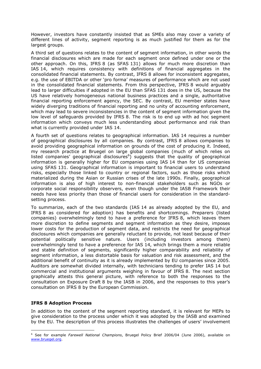However, investors have constantly insisted that as SMEs also may cover a variety of different lines of activity, segment reporting is as much justified for them as for the largest groups.

A third set of questions relates to the content of segment information, in other words the financial disclosures which are made for each segment once defined under one or the other approach. On this, IFRS 8 (as SFAS 131) allows for much more discretion than IAS 14, which requires consistency with definitions of financial aggregates in the consolidated financial statements. By contrast, IFRS 8 allows for inconsistent aggregates, e.g. the use of EBITDA or other 'pro forma' measures of performance which are not used in the consolidated financial statements. From this perspective, IFRS 8 would arguably lead to larger difficulties if adopted in the EU than SFAS 131 does in the US, because the US have relatively homogeneous national business practices and a single, authoritative financial reporting enforcement agency, the SEC. By contrast, EU member states have widely diverging traditions of financial reporting and no unity of accounting enforcement, which may lead to severe inconsistencies in the content of segment information given the low level of safeguards provided by IFRS 8. The risk is to end up with ad hoc segment information which conveys much less understanding about performance and risk than what is currently provided under IAS 14.

A fourth set of questions relates to geographical information. IAS 14 requires a number of geographical disclosures by all companies. By contrast, IFRS 8 allows companies to avoid providing geographical information on grounds of the cost of producing it. Indeed, my research practice at Bruegel on large global companies (much of which relies on listed companies' geographical disclosures $6$ ) suggests that the quality of geographical information is generally higher for EU companies using IAS 14 than for US companies using SFAS 131. Geographical information is important to financial users to understand risks, especially those linked to country or regional factors, such as those risks which materialized during the Asian or Russian crises of the late 1990s. Finally, geographical information is also of high interest to non-financial stakeholders such as NGOs or corporate social responsibility observers, even though under the IASB Framework their needs have less priority than those of financial users for consideration in the standardsetting process.

To summarize, each of the two standards (IAS 14 as already adopted by the EU, and IFRS 8 as considered for adoption) has benefits and shortcomings. Preparers (listed companies) overwhelmingly tend to have a preference for IFRS 8, which leaves them more discretion to define segments and segment information as they desire, imposes lower costs for the production of segment data, and restricts the need for geographical disclosures which companies are generally reluctant to provide, not least because of their potential politically sensitive nature. Users (including investors among them) overwhelmingly tend to have a preference for IAS 14, which brings them a more reliable and stable definition of segments, significantly higher comparability and reliability of segment information, a less distortable basis for valuation and risk assessment, and the additional benefit of continuity as it is already implemented by EU companies since 2005. Auditors are somewhat divided internally, with technicians tending to prefer IAS 14 but commercial and institutional arguments weighing in favour of IFRS 8. The next section graphically attests this general picture, with reference to both the responses to the consultation on Exposure Draft 8 by the IASB in 2006, and the responses to this year's consultation on IFRS 8 by the European Commission.

#### IFRS 8 Adoption Process

 $\overline{a}$ 

In addition to the content of the segment reporting standard, it is relevant for MEPs to give consideration to the process under which it was adopted by the IASB and examined by the EU. The description of this process illustrates the challenges of users' involvement

<sup>&</sup>lt;sup>6</sup> See for example *Farewell National Champions*, Bruegel Policy Brief 2006/04 (June 2006), available on www.bruegel.org.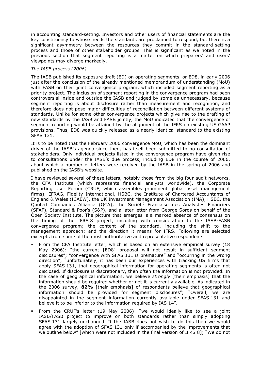in accounting standard-setting. Investors and other users of financial statements are the key constituency to whose needs the standards are proclaimed to respond, but there is a significant asymmetry between the resources they commit in the standard-setting process and those of other stakeholder groups. This is significant as we noted in the previous section that segment reporting is a matter on which preparers' and users' viewpoints may diverge markedly.

#### The IASB process (2006)

The IASB published its exposure draft (ED) on operating segments, or ED8, in early 2006 just after the conclusion of the already mentioned memorandum of understanding (MoU) with FASB on their joint convergence program, which included segment reporting as a priority project. The inclusion of segment reporting in the convergence program had been controversial inside and outside the IASB and judged by some as unnecessary, because segment reporting is about disclosure rather than measurement and recognition, and therefore does not pose major difficulties of reconciliation between different systems of standards. Unlike for some other convergence projects which give rise to the drafting of new standards by the IASB and FASB jointly, the MoU indicated that the convergence of segment reporting would be attained by the alignment of the IFRS on existing US GAAP provisions. Thus, ED8 was quickly released as a nearly identical standard to the existing SFAS 131.

It is to be noted that the February 2006 convergence MoU, which has been the dominant driver of the IASB's agenda since then, has itself been submitted to no consultation of stakeholders. Only individual projects listed in the convergence program have given rise to consultations under the IASB's due process, including ED8 in the course of 2006, about which a number of letters were received by the IASB in the spring of 2006 and published on the IASB's website.

I have reviewed several of these letters, notably those from the big four audit networks, the CFA Institute (which represents financial analysts worldwide), the Corporate Reporting User Forum (CRUF, which assembles prominent global asset management firms), EFRAG, Fidelity International, HSBC, the Institute of Chartered Accountants of England & Wales (ICAEW), the UK Investment Management Association (IMA), HSBC, the Quoted Companies Alliance (QCA), the Société Française des Analystes Financiers (SFAF), Standard & Poor's (S&P), and a later letter from George Soros on behalf of the Open Society Institute. The picture that emerges is a marked absence of consensus on the timing of the IFRS 8 project, including with consideration to the IASB-FASB convergence program; the content of the standard, including the shift to the management approach; and the direction it means for IFRS. Following are selected excerpts from some of the most authoritative and representative respondents.

- From the CFA Institute letter, which is based on an extensive empirical survey (18 May 2006): "the current [ED8] proposal will not result in sufficient segment disclosures"; "convergence with SFAS 131 is premature" and "occurring in the wrong direction"; "unfortunately, it has been our experiences with tracking US firms that apply SFAS 131, that geographical information for operating segments is often not disclosed. If disclosure is discretionary, then often the information is not provided. In the case of geographical information, we believe *strongly* [their emphasis] that the information should be required whether or not it is currently available. As indicated in the 2006 survey, 82% [their emphasis] of respondents believe that geographical information should be provided for segment disclosures"; "Overall, we are disappointed in the segment information currently available under SFAS 131 and believe it to be inferior to the information required by IAS 14".
- From the CRUF's letter (19 May 2006): "we would ideally like to see a joint IASB/FASB project to improve on both standards rather than simply adopting SFAS 131 largely unchanged. If the IASB does not wish to do this then we would agree with the adoption of SFAS 131 only if accompanied by the improvements that we outline below" [which were not included in the final version of IFRS 8]; "We do not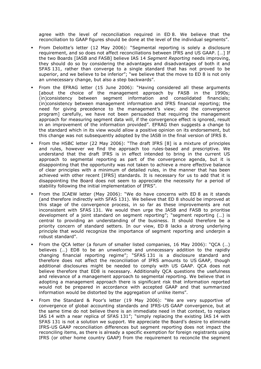agree with the level of reconciliation required in ED 8. We believe that the reconciliation to GAAP figures should be done at the level of the individual segments".

- From Deloitte's letter (12 May 2006): "Segmental reporting is solely a disclosure requirement, and so does not affect reconciliations between IFRS and US GAAP. […] If the two Boards [IASB and FASB] believe IAS 14 Segment Reporting needs improving, they should do so by considering the advantages and disadvantages of both it and SFAS 131, rather than converge to a single standard that has not proved to be superior, and we believe to be inferior"; "we believe that the move to ED 8 is not only an unnecessary change, but also a step backwards".
- From the EFRAG letter (15 June 2006): "Having considered all these arguments [about the choice of the management approach by FASB in the 1990s; (in)consistency between segment information and consolidated financials; (in)consistency between management information and IFRS financial reporting; the need for giving precedence to the management's view; and the convergence program] carefully, we have not been persuaded that requiring the management approach for measuring segment data will, if the convergence effect is ignored, result in an improvement of the information provided". EFRAG then suggests a change to the standard which in its view would allow a positive opinion on its endorsement, but this change was not subsequently adopted by the IASB in the final version of IFRS 8.
- From the HSBC letter (22 May 2006): "The draft IFRS [8] is a mixture of principles and rules, however we find the approach too rules-based and prescriptive. We understand that the draft IFRS is in effect intended to bring in the current US approach to segmental reporting as part of the convergence agenda, but it is disappointing that the opportunity was not taken to achieve a more effective balance of clear principles with a minimum of detailed rules, in the manner that has been achieved with other recent [IFRS] standards. It is necessary for us to add that it is disappointing the Board does not seem to appreciate the necessity for a period of stability following the initial implementation of IFRS".
- From the ICAEW letter (May 2006): "We do have concerns with ED 8 as it stands (and therefore indirectly with SFAS 131). We believe that ED 8 should be improved at this stage of the convergence process, in so far as these improvements are not inconsistent with SFAS 131. We would then urge the IASB and FASB to prioritise development of a joint standard on segment reporting"; "segment reporting (…) is central to providing an understanding of the business. It should therefore be a priority concern of standard setters. In our view, ED 8 lacks a strong underlying principle that would recognize the importance of segment reporting and underpin a robust standard".
- From the OCA letter (a forum of smaller listed companies, 16 May 2006): "OCA (...) believes (…) ED8 to be an unwelcome and unnecessary addition to the rapidly changing financial reporting regime"; "SFAS 131 is a disclosure standard and therefore does not affect the reconciliation of IFRS amounts to US GAAP, though additional disclosures might be needed to comply with US GAAP. QCA does not believe therefore that ED8 is necessary. Additionally QCA questions the usefulness and relevance of a management approach to segmental reporting. We believe that in adopting a management approach there is significant risk that information reported would not be prepared in accordance with accepted GAAP and that summarized information would be distorted by the aggregation of unlike items".
- From the Standard & Poor's letter (19 May 2006): "We are very supportive of convergence of global accounting standards and IFRS-US GAAP convergence, but at the same time do not believe there is an immediate need in that context, to replace IAS 14 with a near replica of SFAS 131"; "simply replacing the existing IAS 14 with SFAS 131 is not a solution we support. We appreciate the Board's desire to eliminate IFRS-US GAAP reconciliation differences but segment reporting does not impact the reconciling items, as there is already a specific exemption for foreign registrants using IFRS (or other home country GAAP) from the requirement to reconcile the segment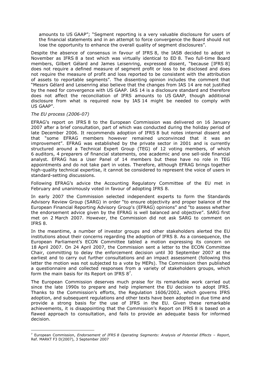amounts to US GAAP"; "Segment reporting is a very valuable disclosure for users of the financial statements and in an attempt to force convergence the Board should not lose the opportunity to enhance the overall quality of segment disclosures".

Despite the absence of consensus in favour of IFRS 8, the IASB decided to adopt in November as IFRS 8 a text which was virtually identical to ED 8. Two full-time Board members, Gilbert Gélard and James Leisenring, expressed dissent, "because [IFRS 8] does not require a defined measure of segment profit or loss to be disclosed and does not require the measure of profit and loss reported to be consistent with the attribution of assets to reportable segments". The dissenting opinion includes the comment that "Messrs Gélard and Leisenring also believe that the changes from IAS 14 are not justified by the need for convergence with US GAAP. IAS 14 is a disclosure standard and therefore does not affect the reconciliation of IFRS amounts to US GAAP, though additional disclosure from what is required now by IAS 14 might be needed to comply with US GAAP".

#### The EU process (2006-07)

 $\overline{a}$ 

EFRAG's report on IFRS 8 to the European Commission was delivered on 16 January 2007 after a brief consultation, part of which was conducted during the holiday period of late December 2006. It recommends adoption of IFRS 8 but notes internal dissent and that "some EFRAG members however remained unconvinced that it was an improvement". EFRAG was established by the private sector in 2001 and is currently structured around a Technical Expert Group (TEG) of 12 voting members, of which 6 auditors, 4 preparers of financial statements, one academic and one sell-side financial analyst. EFRAG has a User Panel of 14 members but these have no role in TEG appointments and do not take part in votes. Therefore, although EFRAG brings together high-quality technical expertise, it cannot be considered to represent the voice of users in standard-setting discussions.

Following EFRAG's advice the Accounting Regulatory Committee of the EU met in February and unanimously voted in favour of adopting IFRS 8.

In early 2007 the Commission selected independent experts to form the Standards Advisory Review Group (SARG) in order "to ensure objectivity and proper balance of the European Financial Reporting Advisory Group's (EFRAG) opinions" and "to assess whether the endorsement advice given by the EFRAG is well balanced and objective". SARG first met on 2 March 2007. However, the Commission did not ask SARG to comment on IFRS 8.

In the meantime, a number of investor groups and other stakeholders alerted the EU institutions about their concerns regarding the adoption of IFRS 8. As a consequence, the European Parliament's ECON Committee tabled a motion expressing its concern on 18 April 2007. On 24 April 2007, the Commission sent a letter to the ECON Committee Chair, committing to delay the enforcement decision until 30 September 2007 at the earliest and to carry out further consultations and an impact assessment (following this letter the motion was not subjected to a vote by MEPs). The Commission then published a questionnaire and collected responses from a variety of stakeholders groups, which form the main basis for its Report on IFRS  $8^7$ .

The European Commission deserves much praise for its remarkable work carried out since the late 1990s to prepare and help implement the EU decision to adopt IFRS. Thanks to the Commission's efforts, the Regulation 1606/2002, which governs IFRS adoption, and subsequent regulations and other texts have been adopted in due time and provide a strong basis for the use of IFRS in the EU. Given these remarkable achievements, it is disappointing that the Commission's Report on IFRS 8 is based on a flawed approach to consultation, and fails to provide an adequate basis for informed decision.

<sup>&</sup>lt;sup>7</sup> European Commission, *Endorsement of IFRS 8 Operating Segments: Analysis of Potential Effects - Report,* Ref. MARKT F3 D(2007), 3 September 2007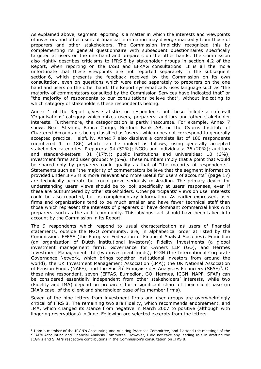As explained above, segment reporting is a matter in which the interests and viewpoints of investors and other users of financial information may diverge markedly from those of preparers and other stakeholders. The Commission implicitly recognized this by complementing its general questionnaire with subsequent questionnaires specifically targeted at users on the one hand and preparers on the other hands. The Commission also rightly describes criticisms to IFRS 8 by stakeholder groups in section 4.2 of the Report, when reporting on the IASB and EFRAG consultations. It is all the more unfortunate that these viewpoints are not reported separately in the subsequent section 6, which presents the feedback received by the Commission on its own consultation, even on questions which were asked separately to preparers on the one hand and users on the other hand. The Report systematically uses language such as "the majority of commentators consulted by the Commission Services have indicated that" or "the majority of respondents to our consultations believe that", without indicating to which category of stakeholders these respondents belong.

Annex 1 of the Report gives statistics on respondents but these include a catch-all 'Organisations' category which mixes users, preparers, auditors and other stakeholder interests. Furthermore, the categorization is partly inaccurate. For example, Annex 7 shows Bear Stearns, Banca Carige, Nordnet Bank AB, or the Cyprus Institute of Chartered Accountants being classified as 'users', which does not correspond to generally accepted practice. Helpfully, Annex 7 also displays a complete list of 180 respondents (numbered 1 to 186) which can be ranked as follows, using generally accepted stakeholder categories. Preparers: 94 (52%); NGOs and individuals: 36 (20%); auditors and standard-setters: 31 (17%); public institutions and universities: 10 (6%); investment firms and user groups:  $9$  (5%). These numbers imply that a point that would be shared only by preparers could qualify as that of "the majority of respondents". Statements such as "the majority of commentators believe that the segment information provided under IFRS 8 is more relevant and more useful for users of accounts" (page 17) are technically accurate but could prove seriously misleading. The primary device for understanding users' views should be to look specifically at users' responses, even if these are outnumbered by other stakeholders. Other participants' views on user interests could be also reported, but as complementary information. As earlier expressed, user firms and organizations tend to be much smaller and have fewer technical staff than those which represent the interests of preparers or have dominant commercial links with preparers, such as the audit community. This obvious fact should have been taken into account by the Commission in its Report.

The 9 respondents which respond to usual characterization as users of financial statements, outside the NGO community, are, in alphabetical order at listed by the Commission: EFFAS (the European Federation of Financial Analyst Societies); Eumedion (an organization of Dutch institutional investors); Fidelity Investments (a global investment management firm); Governance for Owners LLP (GO), and Hermes Investment Management Ltd (two investment funds); ICGN (the International Corporate Governance Network, which brings together institutional investors from around the world); the UK Investment Management Association (IMA); the UK National Association of Pension Funds (NAPF); and the Société Française des Analystes Financiers (SFAF)<sup>8</sup>. Of these nine respondent, seven (EFFAS, Eumedion, GO, Hermes, ICGN, NAPF, SFAF) can be considered essentially independent from other stakeholders' interests, while two (Fidelity and IMA) depend on preparers for a significant share of their client base (in IMA's case, of the client and shareholder base of its member firms).

Seven of the nine letters from investment firms and user groups are overwhelmingly critical of IFRS 8. The remaining two are Fidelity, which recommends endorsement, and IMA, which changed its stance from negative in March 2007 to positive (although with lingering reservations) in June. Following are selected excerpts from the letters.

 $\overline{a}$ 

<sup>&</sup>lt;sup>8</sup> I am a member of the ICGN's Accounting and Auditing Practices Committee, and I attend the meetings of the SFAF's Accounting and Financial Analysis Committee. However, I did not take any leading role in drafting the ICGN's and SFAF's respective contributions in the Commission's consultation on IFRS 8.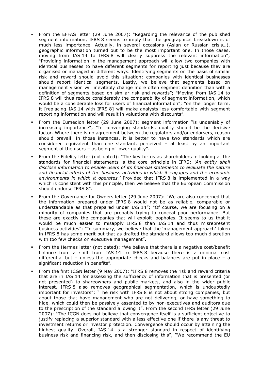- From the EFFAS letter (29 June 2007): "Regarding the relevance of the published segment information, IFRS 8 seems to imply that the geographical breakdown is of much less importance. Actually, in several occasions (Asian or Russian crisis…), geographic information turned out to be the most important one. In those cases, moving from IAS 14 to IFRS 8 will clearly suppress the relevant information"; "Providing information in the management approach will allow two companies with identical businesses to have different segments for reporting just because they are organised or managed in different ways. Identifying segments on the basis of similar risk and reward should avoid this situation: companies with identical businesses should report identical segments. Lastly, we believe that segments based on management vision will inevitably change more often segment definition than with a definition of segments based on similar risk and rewards"; "Moving from IAS 14 to IFRS 8 will thus reduce considerably the comparability of segment information, which would be a considerable loss for users of financial information"; "on the longer term, it [replacing IAS 14 with IFRS 8] will make analysts less comfortable with segment reporting information and will result in valuations with discounts".
- From the Eumedion letter (29 June 2007): segment information "is undeniably of increasing importance"; "In converging standards, quality should be the decisive factor. Where there is no agreement between the regulators and/or endorsers, reason should prevail. In those instances, it is better to have two standards which are considered equivalent than one standard, perceived – at least by an important segment of the users – as being of lower quality".
- From the Fidelity letter (not dated): "The key for us as shareholders in looking at the standards for financial statements is the core principle in IFRS: 'An entity shall disclose information to enable users of its financial statements to evaluate the nature and financial effects of the business activities in which it engages and the economic environments in which it operates.' Provided that IFRS 8 is implemented in a way which is consistent with this principle, then we believe that the European Commission should endorse IFRS 8".
- From the Governance for Owners letter (29 June 2007): "We are also concerned that the information prepared under IFRS 8 would not be as reliable, comparable or understandable as that prepared under IAS 14"; "Of course, we are focusing on a minority of companies that are probably trying to conceal poor performance. But these are exactly the companies that will exploit loopholes. It seems to us that it would be much easier to misapply IFRS 8 than IAS 14 and thus misrepresent business activities"; "In summary, we believe that the 'management approach' taken in IFRS 8 has some merit but that as drafted the standard allows too much discretion with too few checks on executive management".
- From the Hermes letter (not dated): "We believe that there is a negative cost/benefit balance from a shift from IAS 14 to IFRS 8 because there is a minimal cost differential but – unless the appropriate checks and balances are put in place – a significant reduction in benefits".
- From the first ICGN letter (9 May 2007): "IFRS 8 removes the risk and reward criteria that are in IAS 14 for assessing the sufficiency of information that is presented (or not presented) to shareowners and public markets, and also in the wider public interest. IFRS 8 also removes geographical segmentation, which is undoubtedly important for investors"; "The risk with IFRS 8 is not about strong companies, but about those that have management who are not delivering, or have something to hide, which could then be passively assented to by non-executives and auditors due to the prescription of the standard allowing it". From the second IFRS letter (29 June 2007): "The ICGN does not believe that convergence itself is a sufficient objective to justify replacing a superior standard with a less effective one if there is any threat to investment returns or investor protection. Convergence should occur by attaining the highest quality. Overall, IAS 14 is a stronger standard in respect of identifying business risk and financing risk, and then disclosing this"; "We recommend the EU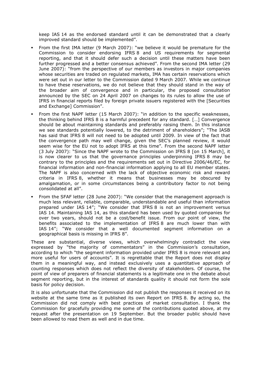keep IAS 14 as the endorsed standard until it can be demonstrated that a clearly improved standard should be implemented".

- From the first IMA letter (9 March 2007): "we believe it would be premature for the Commission to consider endorsing IFRS 8 and US requirements for segmental reporting, and that it should defer such a decision until these matters have been further progressed and a better consensus achieved". From the second IMA letter (29 June 2007): "from the perspective of our members as investors in major companies whose securities are traded on regulated markets, IMA has certain reservations which were set out in our letter to the Commission dated 9 March 2007. While we continue to have these reservations, we do not believe that they should stand in the way of the broader aim of convergence and in particular, the proposed consultation announced by the SEC on 24 April 2007 on changes to its rules to allow the use of IFRS in financial reports filed by foreign private issuers registered with the [Securities and Exchange] Commission".
- From the first NAPF letter (15 March 2007): "in addition to the specific weaknesses, the thinking behind IFRS 8 is a harmful precedent for any standard. […] Convergence should be about maintaining standards and preferably raising them. In this instance we see standards potentially lowered, to the detriment of shareholders"; "The IASB has said that IFRS 8 will not need to be adopted until 2009. In view of the fact that the convergence path may well change, given the SEC's planned review, it would seem wise for the EU not to adopt IFRS at this time". From the second NAPF letter (3 July 2007): "Since the NAPF wrote to the Commission on IFRS 8 [on 15 March], it is now clearer to us that the governance principles underpinning IFRS 8 may be contrary to the principles and the requirements set out in Directive 2006/46/EC, for financial information and non-financial information applying to all EU member states. The NAPF is also concerned with the lack of objective economic risk and reward criteria in IFRS 8, whether it means that businesses may be obscured by amalgamation, or in some circumstances being a contributory factor to not being consolidated at all".
- From the SFAF letter (28 June 2007): "We consider that the management approach is much less relevant, reliable, comparable, understandable and useful than information prepared under IAS 14"; "We consider that IFRS 8 is not an improvement versus IAS 14. Maintaining IAS 14, as this standard has been used by quoted companies for over two years, should not be a cost/benefit issue. From our point of view, the benefits associated to the implementation of IFRS 8 are much lower than with IAS 14"; "We consider that a well documented segment information on a geographical basis is missing in IFRS 8".

These are substantial, diverse views, which overwhelmingly contradict the view expressed by "the majority of commentators" in the Commission's consultation, according to which "the segment information provided under IFRS 8 is more relevant and more useful for users of accounts". It is regrettable that the Report does not display them in a meaningful way, and instead exclusively uses a quantitative approach of counting responses which does not reflect the diversity of stakeholders. Of course, the point of view of preparers of financial statements is a legitimate one in the debate about segment reporting, but in the interest of standards quality it should not form the sole basis for policy decision.

It is also unfortunate that the Commission did not publish the responses it received on its website at the same time as it published its own Report on IFRS 8. By acting so, the Commission did not comply with best practices of market consultation. I thank the Commission for gracefully providing me some of the contributions quoted above, at my request after the presentation on 19 September. But the broader public should have been allowed to read them as well and in due time.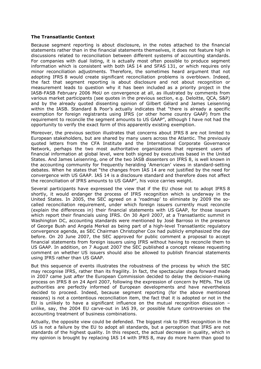#### The Transatlantic Context

Because segment reporting is about disclosure, in the notes attached to the financial statements rather than in the financial statements themselves, it does not feature high in discussions related to reconciliation between different systems of accounting standards. For companies with dual listing, it is actually most often possible to produce segment information which is consistent with both IAS 14 and SFAS 131, or which requires only minor reconciliation adjustments. Therefore, the sometimes heard argument that not adopting IFRS 8 would create significant reconciliation problems is overblown. Indeed, the fact that segment reporting is about disclosure and not about recognition or measurement leads to question why it has been included as a priority project in the IASB-FASB February 2006 MoU on convergence at all, as illustrated by comments from various market participants (see quotes in the previous section, e.g. Deloitte, QCA, S&P) and by the already quoted dissenting opinion of Gilbert Gélard and James Leisenring within the IASB. Standard & Poor's actually indicates that "there is already a specific exemption for foreign registrants using IFRS (or other home country GAAP) from the requirement to reconcile the segment amounts to US GAAP", although I have not had the opportunity to verify the exact form of this apparently existing exemption.

Moreover, the previous section illustrates that concerns about IFRS 8 are not limited to European stakeholders, but are shared by many users across the Atlantic. The previously quoted letters from the CFA Institute and the International Corporate Governance Network, perhaps the two most authoritative organizations that represent users of financial information at global level, were both signed by executives based in the United States. And James Leisenring, one of the two IASB dissenters on IFRS 8, is well known in the accounting community for frequently heralding 'American' views in standard-setting debates. When he states that "the changes from IAS 14 are not justified by the need for convergence with US GAAP. IAS 14 is a disclosure standard and therefore does not affect the reconciliation of IFRS amounts to US GAAP", his voice carries weight.

Several participants have expressed the view that if the EU chose not to adopt IFRS 8 shortly, it would endanger the process of IFRS recognition which is underway in the United States. In 2005, the SEC agreed on a 'roadmap' to eliminate by 2009 the socalled reconciliation requirement, under which foreign issuers currently must reconcile (explain the differences in) their financial statements with US GAAP, for those issuers which report their financials using IFRS. On 30 April 2007, at a Transatlantic summit in Washington DC, accounting standards were mentioned by José Barroso in the presence of George Bush and Angela Merkel as being part of a high-level Transatlantic regulatory convergence agenda, as SEC Chairman Christopher Cox had publicly emphasized the day before. On 20 June 2007, the SEC approved for public comment a proposal to accept financial statements from foreign issuers using IFRS without having to reconcile them to US GAAP. In addition, on 7 August 2007 the SEC published a concept release requesting comment on whether US issuers should also be allowed to publish financial statements using IFRS rather than US GAAP.

But this sequence of events illustrates the robustness of the process by which the SEC may recognise IFRS, rather than its fragility. In fact, the spectacular steps forward made in 2007 came just *after* the European Commission decided to delay the decision-making process on IFRS 8 on 24 April 2007, following the expression of concern by MEPs. The US authorities are perfectly informed of European developments and have nevertheless decided to proceed. Indeed, because segment reporting (for the above mentioned reasons) is not a contentious reconciliation item, the fact that it is adopted or not in the EU is unlikely to have a significant influence on the mutual recognition discussion  $$ unlike, say, the 2004 EU carve-out in IAS 39, or possible future controversies on the accounting treatment of business combinations.

Actually, the opposite view could be defended. The biggest risk to IFRS recognition in the US is not a failure by the EU to adopt all standards, but a perception that IFRS are not standards of the highest quality. In this respect, the actual decrease in quality, which in my opinion is brought by replacing IAS 14 with IFRS 8, may do more harm than good to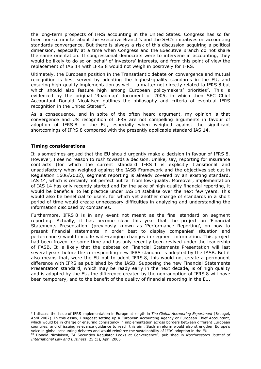the long-term prospects of IFRS accounting in the United States. Congress has so far been non-committal about the Executive Branch's and the SEC's initiatives on accounting standards convergence. But there is always a risk of this discussion acquiring a political dimension, especially at a time when Congress and the Executive Branch do not share the same orientation. If congressional democrats were to intervene in accounting, they would be likely to do so on behalf of investors' interests, and from this point of view the replacement of IAS 14 with IFRS 8 would not weigh in positively for IFRS.

Ultimately, the European position in the Transatlantic debate on convergence and mutual recognition is best served by adopting the highest-quality standards in the EU, and ensuring high-quality implementation as well – a matter not directly related to IFRS 8 but which should also feature high among European policymakers' priorities<sup>9</sup>. This is evidenced by the original 'Roadmap' document of 2005, in which then SEC Chief Accountant Donald Nicolaisen outlines the philosophy and criteria of eventual IFRS recognition in the United States $^{10}$ .

As a consequence, and in spite of the often heard argument, my opinion is that convergence and US recognition of IFRS are not compelling arguments in favour of adoption of IFRS 8 in the EU, especially when weighed against the significant shortcomings of IFRS 8 compared with the presently applicable standard IAS 14.

## Timing considerations

It is sometimes argued that the EU should urgently make a decision in favour of IFRS 8. However, I see no reason to rush towards a decision. Unlike, say, reporting for insurance contracts (for which the current standard IFRS 4 is explicitly transitional and unsatisfactory when weighed against the IASB Framework and the objectives set out in Regulation 1606/2002), segment reporting is already covered by an existing standard, IAS 14, which is certainly not perfect but far from low-quality. Moreover, implementation of IAS 14 has only recently started and for the sake of high-quality financial reporting, it would be beneficial to let practice under IAS 14 stabilise over the next few years. This would also be beneficial to users, for which yet another change of standards in a short period of time would create unnecessary difficulties in analyzing and understanding the information disclosed by companies.

Furthermore, IFRS 8 is in any event not meant as the final standard on segment reporting. Actually, it has become clear this year that the project on 'Financial Statements Presentation' (previously known as 'Performance Reporting', on how to present financial statements in order best to display companies' situation and performance) would include wide-ranging changes in segment information. This project had been frozen for some time and has only recently been revived under the leadership of FASB. It is likely that the debates on Financial Statements Presentation will last several years before the corresponding new IFRS standard is adopted by the IASB. But it also means that, were the EU not to adopt IFRS 8, this would not create a permanent difference with IFRS as published by the IASB. Supposing the new Financial Statements Presentation standard, which may be ready early in the next decade, is of high quality and is adopted by the EU, the difference created by the non-adoption of IFRS 8 will have been temporary, and to the benefit of the quality of financial reporting in the EU.

 $\overline{a}$ <sup>9</sup> I discuss the issue of IFRS implementation in Europe at length in The Global Accounting Experiment (Bruegel, April 2007). In this essay, I suggest setting up a European Accounting Agency or European Chief Accountant, which would be in charge of ensuring consistency in implementation across borders between different European countries, and of issuing relevance guidance to reach this aim. Such a reform would also strengthen Europe's voice in global accounting debates and would reinforce the sustainability of IFRS adoption in the EU.

<sup>&</sup>lt;sup>10</sup> Donald Nicolaisen, "A Securities Regulator Looks at Convergence", published in Northwestern Journal of International Law and Business, 25 (3), April 2005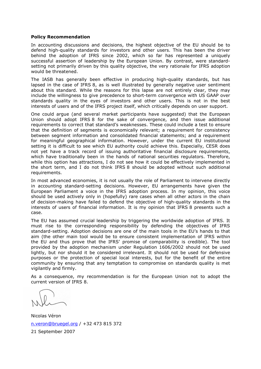#### Policy Recommendation

In accounting discussions and decisions, the highest objective of the EU should be to defend high-quality standards for investors and other users. This has been the driver behind the adoption of IFRS since 2002, which so far has represented a uniquely successful assertion of leadership by the European Union. By contrast, were standardsetting not primarily driven by this quality objective, the very rationale for IFRS adoption would be threatened.

The IASB has generally been effective in producing high-quality standards, but has lapsed in the case of IFRS 8, as is well illustrated by generally negative user sentiment about this standard. While the reasons for this lapse are not entirely clear, they may include the willingness to give precedence to short-term convergence with US GAAP over standards quality in the eyes of investors and other users. This is not in the best interests of users and of the IFRS project itself, which critically depends on user support.

One could argue (and several market participants have suggested) that the European Union should adopt IFRS 8 for the sake of convergence, and then issue additional requirements to correct that standard's weaknesses. These could include a test to ensure that the definition of segments is economically relevant; a requirement for consistency between segment information and consolidated financial statements; and a requirement for meaningful geographical information. However, under the current EU institutional setting it is difficult to see which EU authority could achieve this. Especially, CESR does not yet have a track record of issuing authoritative financial disclosure requirements, which have traditionally been in the hands of national securities regulators. Therefore, while this option has attractions, I do not see how it could be effectively implemented in the short term, and I do not think IFRS 8 should be adopted without such additional requirements.

In most advanced economies, it is not usually the role of Parliament to intervene directly in accounting standard-setting decisions. However, EU arrangements have given the European Parliament a voice in the IFRS adoption process. In my opinion, this voice should be used actively only in (hopefully) rare cases when all other actors in the chain of decision-making have failed to defend the objective of high-quality standards in the interests of users of financial information. It is my opinion that IFRS 8 presents such a case.

The EU has assumed crucial leadership by triggering the worldwide adoption of IFRS. It must rise to the corresponding responsibility by defending the objectives of IFRS standard-setting. Adoption decisions are one of the main tools in the EU's hands to that aim (the other main tool would be to ensure consistent implementation of IFRS within the EU and thus prove that the IFRS' promise of comparability is credible). The tool provided by the adoption mechanism under Regulation 1606/2002 should not be used lightly, but nor should it be considered irrelevant. It should not be used for defensive purposes or the protection of special local interests, but for the benefit of the entire community by ensuring that any temptation to compromise on standards quality is met vigilantly and firmly.

As a consequence, my recommendation is for the European Union not to adopt the current version of IFRS 8.

Nicolas Véron n.veron@bruegel.org / +32 473 815 372 21 September 2007